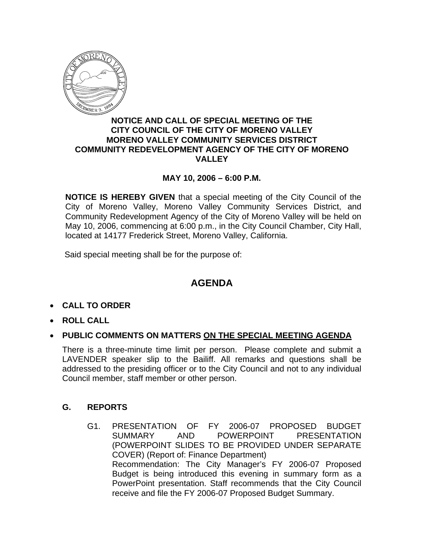

### **NOTICE AND CALL OF SPECIAL MEETING OF THE CITY COUNCIL OF THE CITY OF MORENO VALLEY MORENO VALLEY COMMUNITY SERVICES DISTRICT COMMUNITY REDEVELOPMENT AGENCY OF THE CITY OF MORENO VALLEY**

## **MAY 10, 2006 – 6:00 P.M.**

**NOTICE IS HEREBY GIVEN** that a special meeting of the City Council of the City of Moreno Valley, Moreno Valley Community Services District, and Community Redevelopment Agency of the City of Moreno Valley will be held on May 10, 2006, commencing at 6:00 p.m., in the City Council Chamber, City Hall, located at 14177 Frederick Street, Moreno Valley, California.

Said special meeting shall be for the purpose of:

# **AGENDA**

- **CALL TO ORDER**
- **ROLL CALL**
- **PUBLIC COMMENTS ON MATTERS ON THE SPECIAL MEETING AGENDA**

There is a three-minute time limit per person. Please complete and submit a LAVENDER speaker slip to the Bailiff. All remarks and questions shall be addressed to the presiding officer or to the City Council and not to any individual Council member, staff member or other person.

### **G. REPORTS**

G1. PRESENTATION OF FY 2006-07 PROPOSED BUDGET SUMMARY AND POWERPOINT PRESENTATION (POWERPOINT SLIDES TO BE PROVIDED UNDER SEPARATE COVER) (Report of: Finance Department) Recommendation: The City Manager's FY 2006-07 Proposed Budget is being introduced this evening in summary form as a PowerPoint presentation. Staff recommends that the City Council receive and file the FY 2006-07 Proposed Budget Summary.